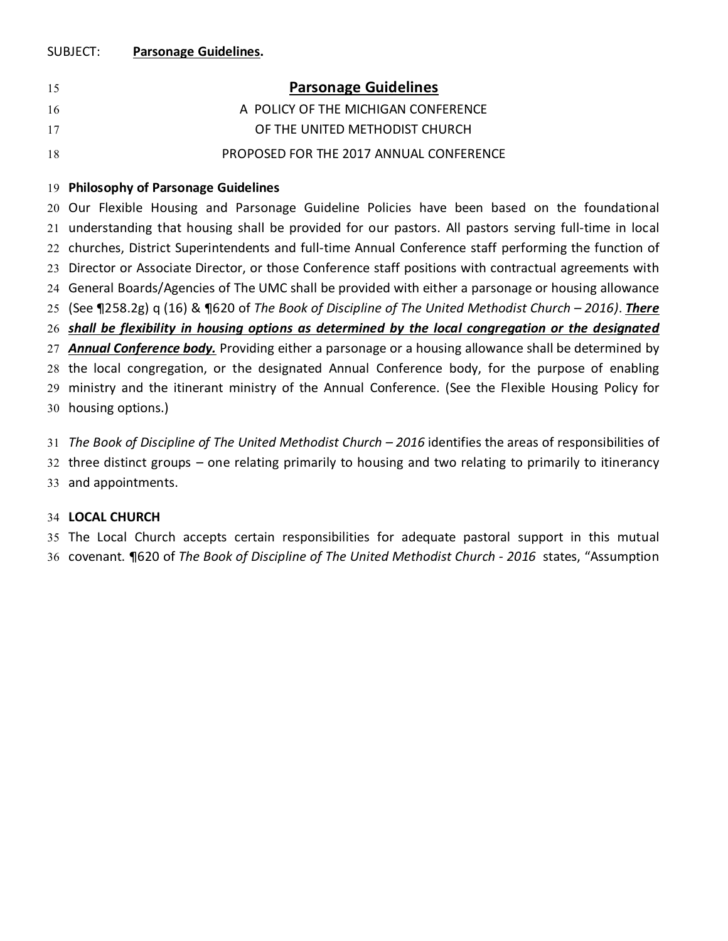#### SUBJECT: **Parsonage Guidelines.**

| 15 | <b>Parsonage Guidelines</b>                                          |
|----|----------------------------------------------------------------------|
| 16 | A POLICY OF THE MICHIGAN CONFERENCE                                  |
| 17 | OF THE UNITED METHODIST CHURCH                                       |
| 18 | PROPOSED FOR THE 2017 ANNUAL CONFERENCE                              |
|    | $\sim$ and the contract of the contract of $\sim$ $\sim$ 1.10 $\sim$ |

#### **Philosophy of Parsonage Guidelines**

 Our Flexible Housing and Parsonage Guideline Policies have been based on the foundational understanding that housing shall be provided for our pastors. All pastors serving full-time in local churches, District Superintendents and full-time Annual Conference staff performing the function of Director or Associate Director, or those Conference staff positions with contractual agreements with General Boards/Agencies of The UMC shall be provided with either a parsonage or housing allowance (See ¶258.2g) q (16) & ¶620 of *The Book of Discipline of The United Methodist Church – 2016)*. *There shall be flexibility in housing options as determined by the local congregation or the designated Annual Conference body.* Providing either a parsonage or a housing allowance shall be determined by the local congregation, or the designated Annual Conference body, for the purpose of enabling ministry and the itinerant ministry of the Annual Conference. (See the Flexible Housing Policy for housing options.)

 *The Book of Discipline of The United Methodist Church – 2016* identifies the areas of responsibilities of three distinct groups – one relating primarily to housing and two relating to primarily to itinerancy and appointments.

#### **LOCAL CHURCH**

 The Local Church accepts certain responsibilities for adequate pastoral support in this mutual covenant. ¶620 of *The Book of Discipline of The United Methodist Church - 2016* states, "Assumption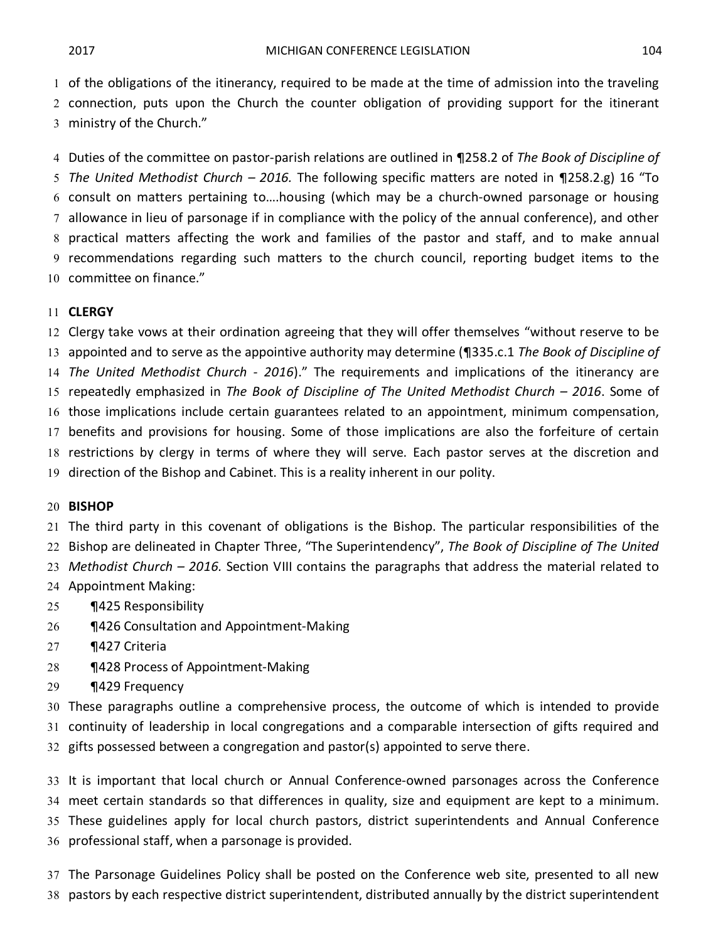of the obligations of the itinerancy, required to be made at the time of admission into the traveling connection, puts upon the Church the counter obligation of providing support for the itinerant ministry of the Church."

 Duties of the committee on pastor-parish relations are outlined in ¶258.2 of *The Book of Discipline of The United Methodist Church – 2016.* The following specific matters are noted in ¶258.2.g) 16 "To consult on matters pertaining to….housing (which may be a church-owned parsonage or housing allowance in lieu of parsonage if in compliance with the policy of the annual conference), and other practical matters affecting the work and families of the pastor and staff, and to make annual recommendations regarding such matters to the church council, reporting budget items to the committee on finance."

#### **CLERGY**

 Clergy take vows at their ordination agreeing that they will offer themselves "without reserve to be appointed and to serve as the appointive authority may determine (¶335.c.1 *The Book of Discipline of The United Methodist Church - 2016*)." The requirements and implications of the itinerancy are repeatedly emphasized in *The Book of Discipline of The United Methodist Church – 2016*. Some of those implications include certain guarantees related to an appointment, minimum compensation, benefits and provisions for housing. Some of those implications are also the forfeiture of certain restrictions by clergy in terms of where they will serve. Each pastor serves at the discretion and direction of the Bishop and Cabinet. This is a reality inherent in our polity.

#### **BISHOP**

 The third party in this covenant of obligations is the Bishop. The particular responsibilities of the Bishop are delineated in Chapter Three, "The Superintendency", *The Book of Discipline of The United Methodist Church – 2016.* Section VIII contains the paragraphs that address the material related to Appointment Making:

- ¶425 Responsibility
- 26 ¶426 Consultation and Appointment-Making
- ¶427 Criteria
- ¶428 Process of Appointment-Making
- ¶429 Frequency

 These paragraphs outline a comprehensive process, the outcome of which is intended to provide continuity of leadership in local congregations and a comparable intersection of gifts required and gifts possessed between a congregation and pastor(s) appointed to serve there.

 It is important that local church or Annual Conference-owned parsonages across the Conference meet certain standards so that differences in quality, size and equipment are kept to a minimum. These guidelines apply for local church pastors, district superintendents and Annual Conference professional staff, when a parsonage is provided.

 The Parsonage Guidelines Policy shall be posted on the Conference web site, presented to all new pastors by each respective district superintendent, distributed annually by the district superintendent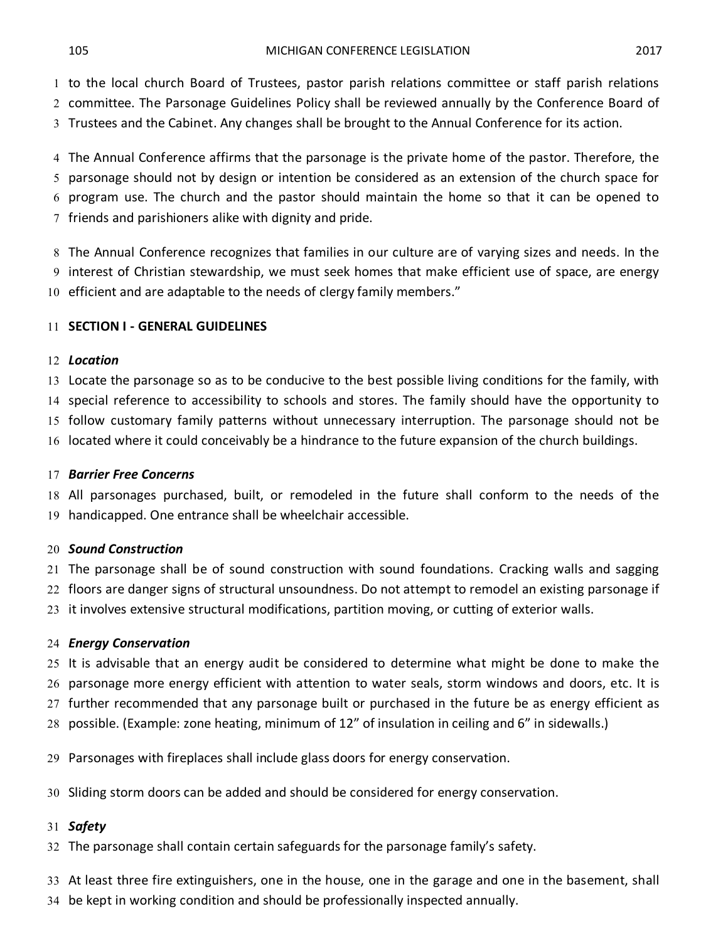to the local church Board of Trustees, pastor parish relations committee or staff parish relations

committee. The Parsonage Guidelines Policy shall be reviewed annually by the Conference Board of

Trustees and the Cabinet. Any changes shall be brought to the Annual Conference for its action.

 The Annual Conference affirms that the parsonage is the private home of the pastor. Therefore, the parsonage should not by design or intention be considered as an extension of the church space for program use. The church and the pastor should maintain the home so that it can be opened to friends and parishioners alike with dignity and pride.

 The Annual Conference recognizes that families in our culture are of varying sizes and needs. In the interest of Christian stewardship, we must seek homes that make efficient use of space, are energy efficient and are adaptable to the needs of clergy family members."

# **SECTION I - GENERAL GUIDELINES**

#### *Location*

 Locate the parsonage so as to be conducive to the best possible living conditions for the family, with special reference to accessibility to schools and stores. The family should have the opportunity to

follow customary family patterns without unnecessary interruption. The parsonage should not be

located where it could conceivably be a hindrance to the future expansion of the church buildings.

### *Barrier Free Concerns*

 All parsonages purchased, built, or remodeled in the future shall conform to the needs of the handicapped. One entrance shall be wheelchair accessible.

### *Sound Construction*

 The parsonage shall be of sound construction with sound foundations. Cracking walls and sagging floors are danger signs of structural unsoundness. Do not attempt to remodel an existing parsonage if it involves extensive structural modifications, partition moving, or cutting of exterior walls.

### *Energy Conservation*

 It is advisable that an energy audit be considered to determine what might be done to make the parsonage more energy efficient with attention to water seals, storm windows and doors, etc. It is

further recommended that any parsonage built or purchased in the future be as energy efficient as

possible. (Example: zone heating, minimum of 12" of insulation in ceiling and 6" in sidewalls.)

Parsonages with fireplaces shall include glass doors for energy conservation.

Sliding storm doors can be added and should be considered for energy conservation.

### *Safety*

The parsonage shall contain certain safeguards for the parsonage family's safety.

At least three fire extinguishers, one in the house, one in the garage and one in the basement, shall

be kept in working condition and should be professionally inspected annually.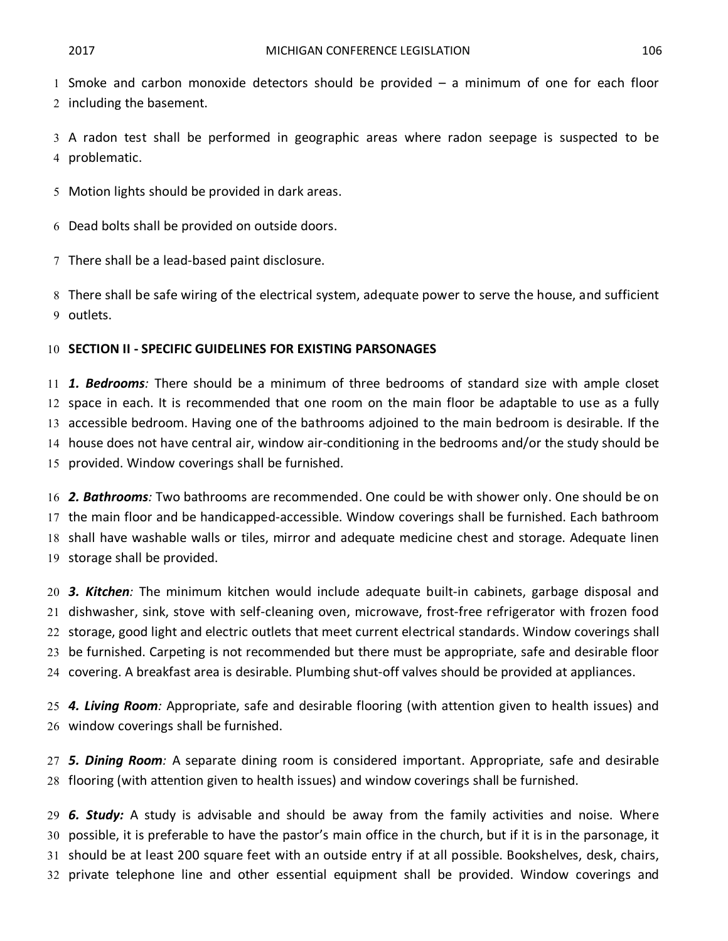Smoke and carbon monoxide detectors should be provided – a minimum of one for each floor including the basement.

 A radon test shall be performed in geographic areas where radon seepage is suspected to be problematic.

Motion lights should be provided in dark areas.

Dead bolts shall be provided on outside doors.

There shall be a lead-based paint disclosure.

 There shall be safe wiring of the electrical system, adequate power to serve the house, and sufficient outlets.

#### **SECTION II - SPECIFIC GUIDELINES FOR EXISTING PARSONAGES**

 *1. Bedrooms:* There should be a minimum of three bedrooms of standard size with ample closet space in each. It is recommended that one room on the main floor be adaptable to use as a fully accessible bedroom. Having one of the bathrooms adjoined to the main bedroom is desirable. If the house does not have central air, window air-conditioning in the bedrooms and/or the study should be provided. Window coverings shall be furnished.

 *2. Bathrooms:* Two bathrooms are recommended. One could be with shower only. One should be on the main floor and be handicapped-accessible. Window coverings shall be furnished. Each bathroom shall have washable walls or tiles, mirror and adequate medicine chest and storage. Adequate linen storage shall be provided.

 *3. Kitchen:* The minimum kitchen would include adequate built-in cabinets, garbage disposal and dishwasher, sink, stove with self-cleaning oven, microwave, frost-free refrigerator with frozen food storage, good light and electric outlets that meet current electrical standards. Window coverings shall be furnished. Carpeting is not recommended but there must be appropriate, safe and desirable floor covering. A breakfast area is desirable. Plumbing shut-off valves should be provided at appliances.

 *4. Living Room:* Appropriate, safe and desirable flooring (with attention given to health issues) and window coverings shall be furnished.

 *5. Dining Room:* A separate dining room is considered important. Appropriate, safe and desirable flooring (with attention given to health issues) and window coverings shall be furnished.

 *6. Study:* A study is advisable and should be away from the family activities and noise. Where possible, it is preferable to have the pastor's main office in the church, but if it is in the parsonage, it should be at least 200 square feet with an outside entry if at all possible. Bookshelves, desk, chairs, private telephone line and other essential equipment shall be provided. Window coverings and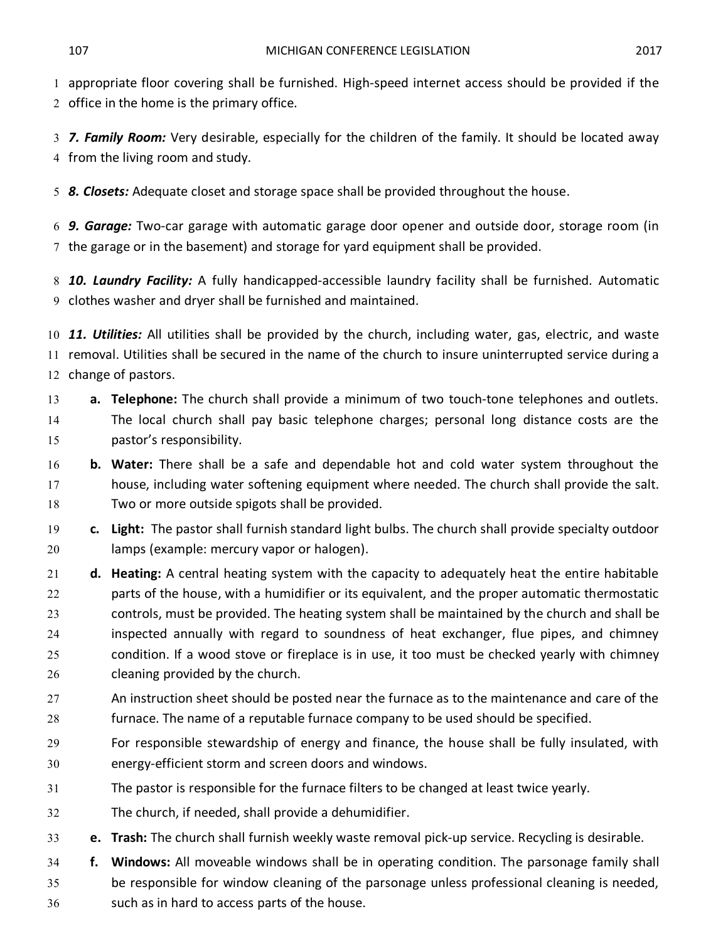appropriate floor covering shall be furnished. High-speed internet access should be provided if the office in the home is the primary office.

 *7. Family Room:* Very desirable, especially for the children of the family. It should be located away from the living room and study.

*8. Closets:* Adequate closet and storage space shall be provided throughout the house.

 *9. Garage:* Two-car garage with automatic garage door opener and outside door, storage room (in the garage or in the basement) and storage for yard equipment shall be provided.

 *10. Laundry Facility:* A fully handicapped-accessible laundry facility shall be furnished. Automatic clothes washer and dryer shall be furnished and maintained.

 *11. Utilities:* All utilities shall be provided by the church, including water, gas, electric, and waste removal. Utilities shall be secured in the name of the church to insure uninterrupted service during a change of pastors.

- **a. Telephone:** The church shall provide a minimum of two touch-tone telephones and outlets. The local church shall pay basic telephone charges; personal long distance costs are the pastor's responsibility.
- **b. Water:** There shall be a safe and dependable hot and cold water system throughout the house, including water softening equipment where needed. The church shall provide the salt. Two or more outside spigots shall be provided.
- **c. Light:** The pastor shall furnish standard light bulbs. The church shall provide specialty outdoor lamps (example: mercury vapor or halogen).
- **d. Heating:** A central heating system with the capacity to adequately heat the entire habitable parts of the house, with a humidifier or its equivalent, and the proper automatic thermostatic controls, must be provided. The heating system shall be maintained by the church and shall be inspected annually with regard to soundness of heat exchanger, flue pipes, and chimney condition. If a wood stove or fireplace is in use, it too must be checked yearly with chimney cleaning provided by the church.
- 27 An instruction sheet should be posted near the furnace as to the maintenance and care of the furnace. The name of a reputable furnace company to be used should be specified.
- For responsible stewardship of energy and finance, the house shall be fully insulated, with energy-efficient storm and screen doors and windows.
- The pastor is responsible for the furnace filters to be changed at least twice yearly.
- The church, if needed, shall provide a dehumidifier.
- **e. Trash:** The church shall furnish weekly waste removal pick-up service. Recycling is desirable.
- **f. Windows:** All moveable windows shall be in operating condition. The parsonage family shall be responsible for window cleaning of the parsonage unless professional cleaning is needed, such as in hard to access parts of the house.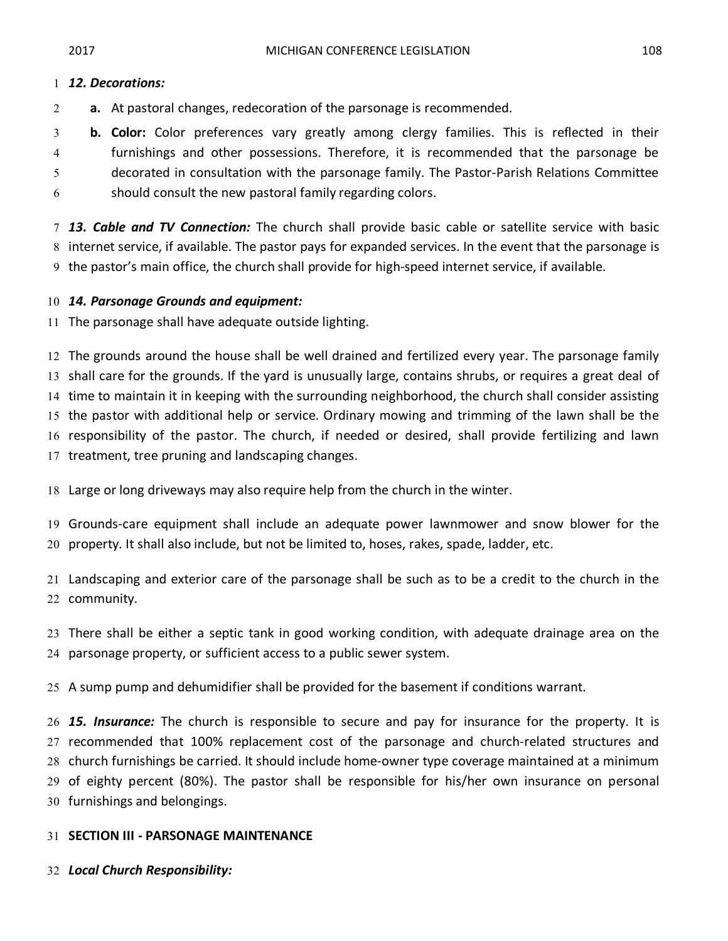**a.** At pastoral changes, redecoration of the parsonage is recommended.

 **b. Color:** Color preferences vary greatly among clergy families. This is reflected in their furnishings and other possessions. Therefore, it is recommended that the parsonage be decorated in consultation with the parsonage family. The Pastor-Parish Relations Committee should consult the new pastoral family regarding colors.

 *13. Cable and TV Connection:* The church shall provide basic cable or satellite service with basic internet service, if available. The pastor pays for expanded services. In the event that the parsonage is the pastor's main office, the church shall provide for high-speed internet service, if available.

# *14. Parsonage Grounds and equipment:*

The parsonage shall have adequate outside lighting.

 The grounds around the house shall be well drained and fertilized every year. The parsonage family shall care for the grounds. If the yard is unusually large, contains shrubs, or requires a great deal of time to maintain it in keeping with the surrounding neighborhood, the church shall consider assisting the pastor with additional help or service. Ordinary mowing and trimming of the lawn shall be the responsibility of the pastor. The church, if needed or desired, shall provide fertilizing and lawn treatment, tree pruning and landscaping changes.

Large or long driveways may also require help from the church in the winter.

 Grounds-care equipment shall include an adequate power lawnmower and snow blower for the property. It shall also include, but not be limited to, hoses, rakes, spade, ladder, etc.

 Landscaping and exterior care of the parsonage shall be such as to be a credit to the church in the community.

 There shall be either a septic tank in good working condition, with adequate drainage area on the parsonage property, or sufficient access to a public sewer system.

A sump pump and dehumidifier shall be provided for the basement if conditions warrant.

 *15. Insurance:* The church is responsible to secure and pay for insurance for the property. It is recommended that 100% replacement cost of the parsonage and church-related structures and church furnishings be carried. It should include home-owner type coverage maintained at a minimum of eighty percent (80%). The pastor shall be responsible for his/her own insurance on personal furnishings and belongings.

# **SECTION III - PARSONAGE MAINTENANCE**

*Local Church Responsibility:*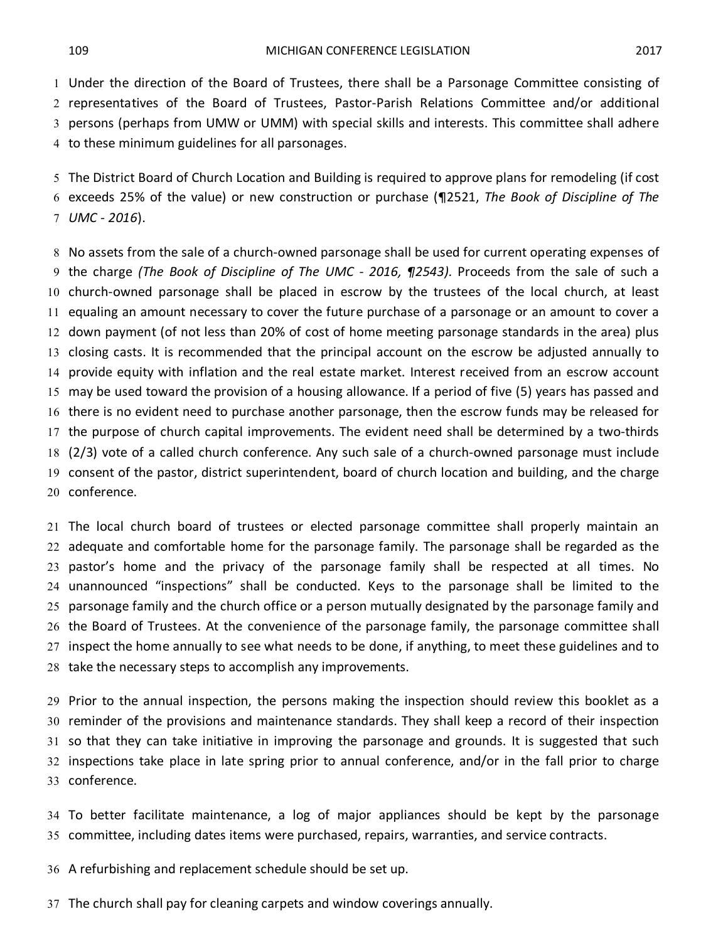Under the direction of the Board of Trustees, there shall be a Parsonage Committee consisting of representatives of the Board of Trustees, Pastor-Parish Relations Committee and/or additional persons (perhaps from UMW or UMM) with special skills and interests. This committee shall adhere to these minimum guidelines for all parsonages.

 The District Board of Church Location and Building is required to approve plans for remodeling (if cost exceeds 25% of the value) or new construction or purchase (¶2521, *The Book of Discipline of The UMC - 2016*).

 No assets from the sale of a church-owned parsonage shall be used for current operating expenses of the charge *(The Book of Discipline of The UMC - 2016, ¶2543).* Proceeds from the sale of such a church-owned parsonage shall be placed in escrow by the trustees of the local church, at least equaling an amount necessary to cover the future purchase of a parsonage or an amount to cover a down payment (of not less than 20% of cost of home meeting parsonage standards in the area) plus closing casts. It is recommended that the principal account on the escrow be adjusted annually to provide equity with inflation and the real estate market. Interest received from an escrow account may be used toward the provision of a housing allowance. If a period of five (5) years has passed and there is no evident need to purchase another parsonage, then the escrow funds may be released for the purpose of church capital improvements. The evident need shall be determined by a two-thirds (2/3) vote of a called church conference. Any such sale of a church-owned parsonage must include consent of the pastor, district superintendent, board of church location and building, and the charge conference.

 The local church board of trustees or elected parsonage committee shall properly maintain an adequate and comfortable home for the parsonage family. The parsonage shall be regarded as the pastor's home and the privacy of the parsonage family shall be respected at all times. No unannounced "inspections" shall be conducted. Keys to the parsonage shall be limited to the parsonage family and the church office or a person mutually designated by the parsonage family and the Board of Trustees. At the convenience of the parsonage family, the parsonage committee shall inspect the home annually to see what needs to be done, if anything, to meet these guidelines and to take the necessary steps to accomplish any improvements.

 Prior to the annual inspection, the persons making the inspection should review this booklet as a reminder of the provisions and maintenance standards. They shall keep a record of their inspection so that they can take initiative in improving the parsonage and grounds. It is suggested that such inspections take place in late spring prior to annual conference, and/or in the fall prior to charge conference.

 To better facilitate maintenance, a log of major appliances should be kept by the parsonage committee, including dates items were purchased, repairs, warranties, and service contracts.

A refurbishing and replacement schedule should be set up.

The church shall pay for cleaning carpets and window coverings annually.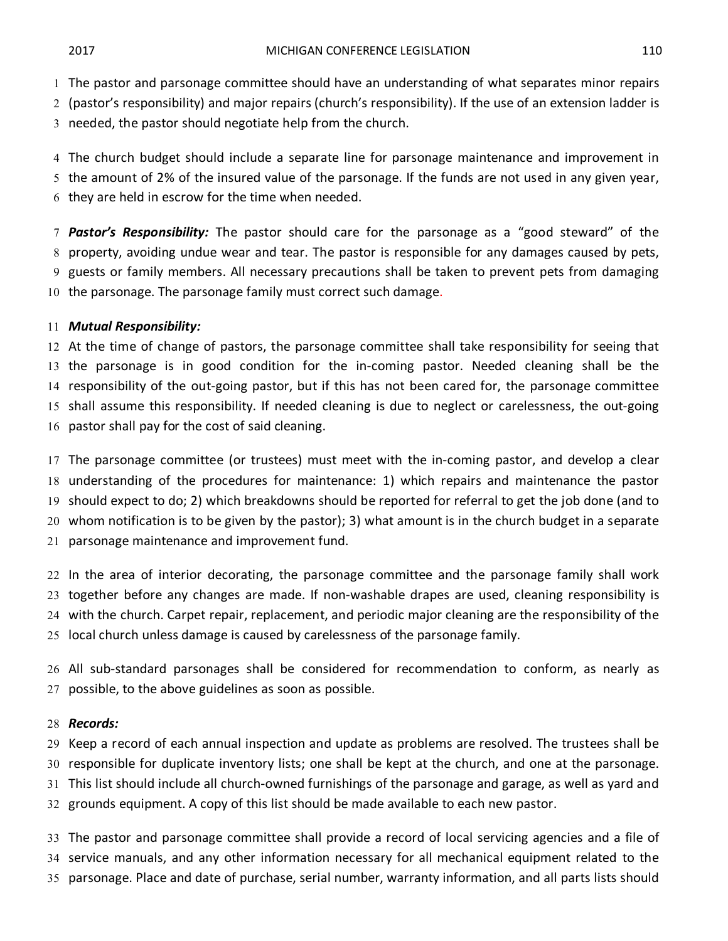The pastor and parsonage committee should have an understanding of what separates minor repairs

(pastor's responsibility) and major repairs (church's responsibility). If the use of an extension ladder is

needed, the pastor should negotiate help from the church.

 The church budget should include a separate line for parsonage maintenance and improvement in the amount of 2% of the insured value of the parsonage. If the funds are not used in any given year, they are held in escrow for the time when needed.

 *Pastor's Responsibility:* The pastor should care for the parsonage as a "good steward" of the property, avoiding undue wear and tear. The pastor is responsible for any damages caused by pets, guests or family members. All necessary precautions shall be taken to prevent pets from damaging the parsonage. The parsonage family must correct such damage.

### *Mutual Responsibility:*

 At the time of change of pastors, the parsonage committee shall take responsibility for seeing that the parsonage is in good condition for the in-coming pastor. Needed cleaning shall be the responsibility of the out-going pastor, but if this has not been cared for, the parsonage committee shall assume this responsibility. If needed cleaning is due to neglect or carelessness, the out-going pastor shall pay for the cost of said cleaning.

 The parsonage committee (or trustees) must meet with the in-coming pastor, and develop a clear understanding of the procedures for maintenance: 1) which repairs and maintenance the pastor should expect to do; 2) which breakdowns should be reported for referral to get the job done (and to whom notification is to be given by the pastor); 3) what amount is in the church budget in a separate parsonage maintenance and improvement fund.

 In the area of interior decorating, the parsonage committee and the parsonage family shall work together before any changes are made. If non-washable drapes are used, cleaning responsibility is with the church. Carpet repair, replacement, and periodic major cleaning are the responsibility of the local church unless damage is caused by carelessness of the parsonage family.

 All sub-standard parsonages shall be considered for recommendation to conform, as nearly as possible, to the above guidelines as soon as possible.

### *Records:*

 Keep a record of each annual inspection and update as problems are resolved. The trustees shall be responsible for duplicate inventory lists; one shall be kept at the church, and one at the parsonage. This list should include all church-owned furnishings of the parsonage and garage, as well as yard and grounds equipment. A copy of this list should be made available to each new pastor.

 The pastor and parsonage committee shall provide a record of local servicing agencies and a file of service manuals, and any other information necessary for all mechanical equipment related to the parsonage. Place and date of purchase, serial number, warranty information, and all parts lists should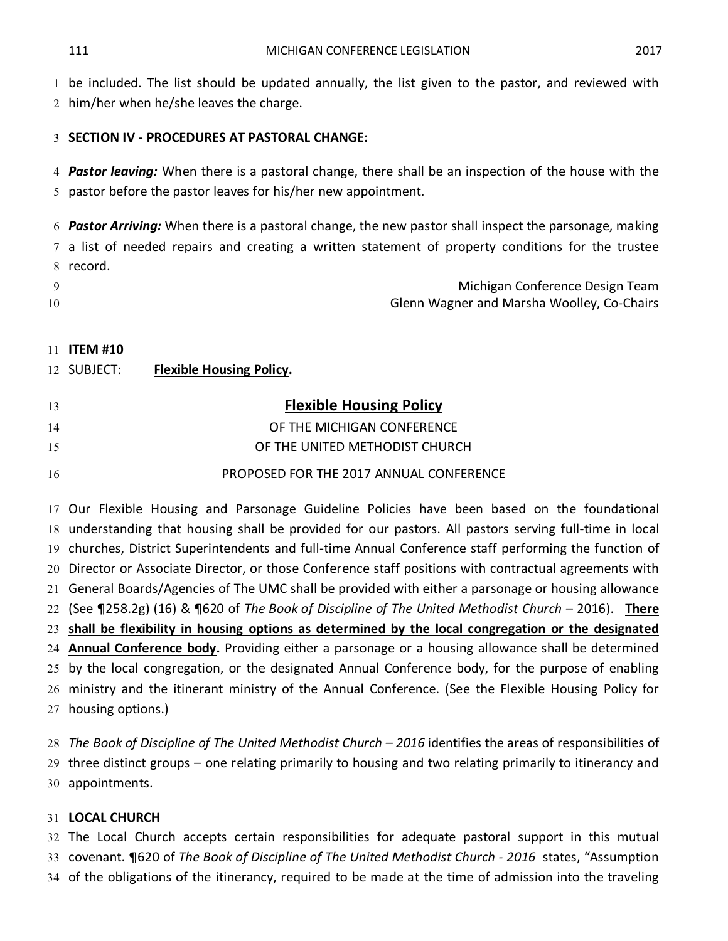be included. The list should be updated annually, the list given to the pastor, and reviewed with

him/her when he/she leaves the charge.

### **SECTION IV - PROCEDURES AT PASTORAL CHANGE:**

 *Pastor leaving:* When there is a pastoral change, there shall be an inspection of the house with the pastor before the pastor leaves for his/her new appointment.

 *Pastor Arriving:* When there is a pastoral change, the new pastor shall inspect the parsonage, making a list of needed repairs and creating a written statement of property conditions for the trustee record.

|    | Michigan Conference Design Team            |
|----|--------------------------------------------|
| 10 | Glenn Wagner and Marsha Woolley, Co-Chairs |

### **ITEM #10**

| 12 SUBJECT: | <b>Flexible Housing Policy.</b> |
|-------------|---------------------------------|
|             |                                 |

| 13 | <b>Flexible Housing Policy</b>          |
|----|-----------------------------------------|
| 14 | OF THE MICHIGAN CONFERENCE              |
| 15 | OF THE UNITED METHODIST CHURCH          |
| 16 | PROPOSED FOR THE 2017 ANNUAL CONFERENCE |

 Our Flexible Housing and Parsonage Guideline Policies have been based on the foundational understanding that housing shall be provided for our pastors. All pastors serving full-time in local churches, District Superintendents and full-time Annual Conference staff performing the function of Director or Associate Director, or those Conference staff positions with contractual agreements with General Boards/Agencies of The UMC shall be provided with either a parsonage or housing allowance (See ¶258.2g) (16) & ¶620 of *The Book of Discipline of The United Methodist Church* – 2016). **There shall be flexibility in housing options as determined by the local congregation or the designated Annual Conference body.** Providing either a parsonage or a housing allowance shall be determined by the local congregation, or the designated Annual Conference body, for the purpose of enabling ministry and the itinerant ministry of the Annual Conference. (See the Flexible Housing Policy for housing options.)

 *The Book of Discipline of The United Methodist Church – 2016* identifies the areas of responsibilities of three distinct groups – one relating primarily to housing and two relating primarily to itinerancy and appointments.

### **LOCAL CHURCH**

 The Local Church accepts certain responsibilities for adequate pastoral support in this mutual covenant. ¶620 of *The Book of Discipline of The United Methodist Church - 2016* states, "Assumption of the obligations of the itinerancy, required to be made at the time of admission into the traveling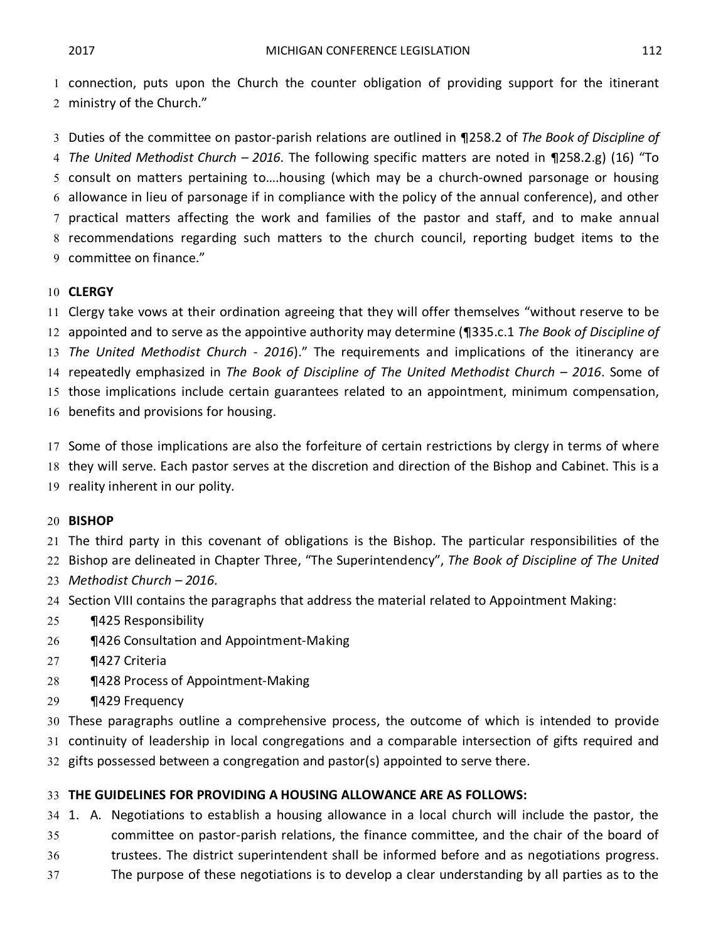connection, puts upon the Church the counter obligation of providing support for the itinerant ministry of the Church."

 Duties of the committee on pastor-parish relations are outlined in ¶258.2 of *The Book of Discipline of The United Methodist Church – 2016.* The following specific matters are noted in ¶258.2.g) (16) "To consult on matters pertaining to….housing (which may be a church-owned parsonage or housing allowance in lieu of parsonage if in compliance with the policy of the annual conference), and other practical matters affecting the work and families of the pastor and staff, and to make annual recommendations regarding such matters to the church council, reporting budget items to the committee on finance."

### **CLERGY**

Clergy take vows at their ordination agreeing that they will offer themselves "without reserve to be

 appointed and to serve as the appointive authority may determine (¶335.c.1 *The Book of Discipline of The United Methodist Church - 2016*)." The requirements and implications of the itinerancy are repeatedly emphasized in *The Book of Discipline of The United Methodist Church – 2016*. Some of

those implications include certain guarantees related to an appointment, minimum compensation,

benefits and provisions for housing.

Some of those implications are also the forfeiture of certain restrictions by clergy in terms of where

- they will serve. Each pastor serves at the discretion and direction of the Bishop and Cabinet. This is a
- reality inherent in our polity.

### **BISHOP**

The third party in this covenant of obligations is the Bishop. The particular responsibilities of the

Bishop are delineated in Chapter Three, "The Superintendency", *The Book of Discipline of The United*

- *Methodist Church 2016.*
- Section VIII contains the paragraphs that address the material related to Appointment Making:
- ¶425 Responsibility
- 26 ¶426 Consultation and Appointment-Making
- ¶427 Criteria
- ¶428 Process of Appointment-Making
- ¶429 Frequency

These paragraphs outline a comprehensive process, the outcome of which is intended to provide

continuity of leadership in local congregations and a comparable intersection of gifts required and

gifts possessed between a congregation and pastor(s) appointed to serve there.

### **THE GUIDELINES FOR PROVIDING A HOUSING ALLOWANCE ARE AS FOLLOWS:**

1. A. Negotiations to establish a housing allowance in a local church will include the pastor, the

committee on pastor-parish relations, the finance committee, and the chair of the board of

- trustees. The district superintendent shall be informed before and as negotiations progress.
- The purpose of these negotiations is to develop a clear understanding by all parties as to the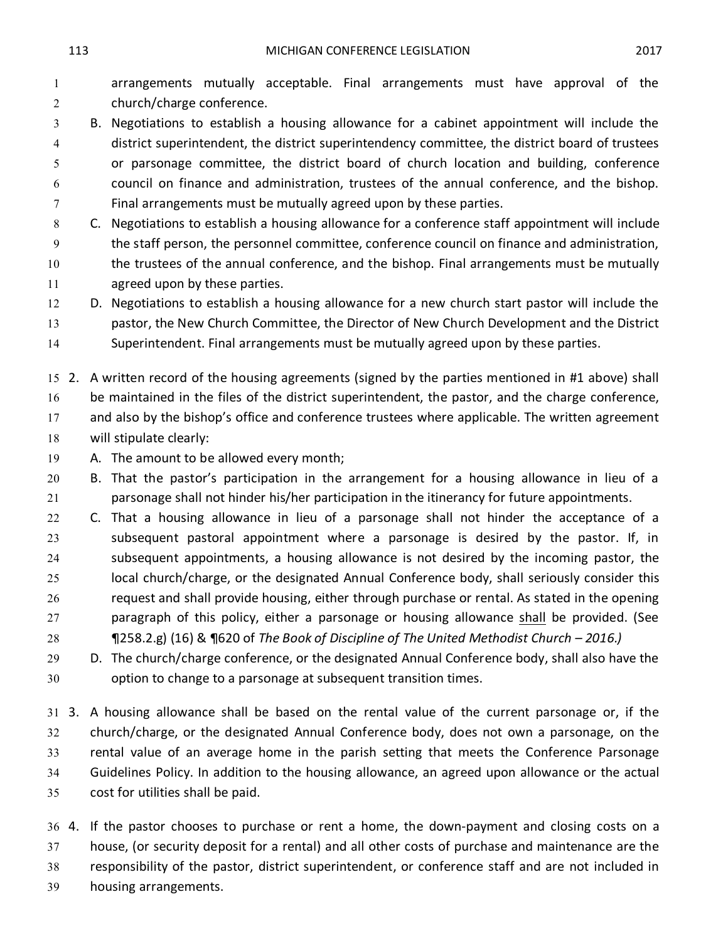arrangements mutually acceptable. Final arrangements must have approval of the church/charge conference.

 B. Negotiations to establish a housing allowance for a cabinet appointment will include the district superintendent, the district superintendency committee, the district board of trustees or parsonage committee, the district board of church location and building, conference council on finance and administration, trustees of the annual conference, and the bishop. Final arrangements must be mutually agreed upon by these parties.

 C. Negotiations to establish a housing allowance for a conference staff appointment will include the staff person, the personnel committee, conference council on finance and administration, the trustees of the annual conference, and the bishop. Final arrangements must be mutually agreed upon by these parties.

 D. Negotiations to establish a housing allowance for a new church start pastor will include the pastor, the New Church Committee, the Director of New Church Development and the District Superintendent. Final arrangements must be mutually agreed upon by these parties.

 2. A written record of the housing agreements (signed by the parties mentioned in #1 above) shall be maintained in the files of the district superintendent, the pastor, and the charge conference, 17 and also by the bishop's office and conference trustees where applicable. The written agreement will stipulate clearly:

A. The amount to be allowed every month;

 B. That the pastor's participation in the arrangement for a housing allowance in lieu of a parsonage shall not hinder his/her participation in the itinerancy for future appointments.

 C. That a housing allowance in lieu of a parsonage shall not hinder the acceptance of a subsequent pastoral appointment where a parsonage is desired by the pastor. If, in subsequent appointments, a housing allowance is not desired by the incoming pastor, the local church/charge, or the designated Annual Conference body, shall seriously consider this request and shall provide housing, either through purchase or rental. As stated in the opening paragraph of this policy, either a parsonage or housing allowance shall be provided. (See ¶258.2.g) (16) & ¶620 of *The Book of Discipline of The United Methodist Church – 2016.)*

 D. The church/charge conference, or the designated Annual Conference body, shall also have the option to change to a parsonage at subsequent transition times.

 3. A housing allowance shall be based on the rental value of the current parsonage or, if the church/charge, or the designated Annual Conference body, does not own a parsonage, on the rental value of an average home in the parish setting that meets the Conference Parsonage Guidelines Policy. In addition to the housing allowance, an agreed upon allowance or the actual cost for utilities shall be paid.

 4. If the pastor chooses to purchase or rent a home, the down-payment and closing costs on a house, (or security deposit for a rental) and all other costs of purchase and maintenance are the responsibility of the pastor, district superintendent, or conference staff and are not included in housing arrangements.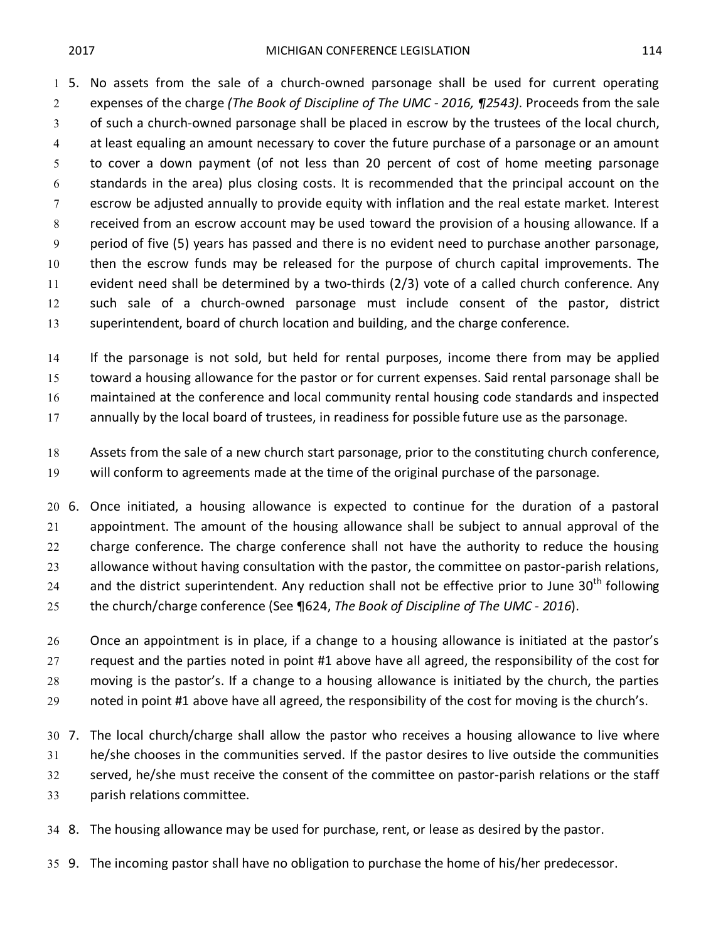5. No assets from the sale of a church-owned parsonage shall be used for current operating expenses of the charge *(The Book of Discipline of The UMC - 2016, ¶2543).* Proceeds from the sale of such a church-owned parsonage shall be placed in escrow by the trustees of the local church, at least equaling an amount necessary to cover the future purchase of a parsonage or an amount to cover a down payment (of not less than 20 percent of cost of home meeting parsonage standards in the area) plus closing costs. It is recommended that the principal account on the escrow be adjusted annually to provide equity with inflation and the real estate market. Interest received from an escrow account may be used toward the provision of a housing allowance. If a period of five (5) years has passed and there is no evident need to purchase another parsonage, then the escrow funds may be released for the purpose of church capital improvements. The evident need shall be determined by a two-thirds (2/3) vote of a called church conference. Any such sale of a church-owned parsonage must include consent of the pastor, district superintendent, board of church location and building, and the charge conference.

 If the parsonage is not sold, but held for rental purposes, income there from may be applied toward a housing allowance for the pastor or for current expenses. Said rental parsonage shall be maintained at the conference and local community rental housing code standards and inspected

17 annually by the local board of trustees, in readiness for possible future use as the parsonage.

 Assets from the sale of a new church start parsonage, prior to the constituting church conference, will conform to agreements made at the time of the original purchase of the parsonage.

 6. Once initiated, a housing allowance is expected to continue for the duration of a pastoral appointment. The amount of the housing allowance shall be subject to annual approval of the 22 charge conference. The charge conference shall not have the authority to reduce the housing allowance without having consultation with the pastor, the committee on pastor-parish relations, 24 and the district superintendent. Any reduction shall not be effective prior to June  $30<sup>th</sup>$  following the church/charge conference (See ¶624, *The Book of Discipline of The UMC - 2016*).

26 Once an appointment is in place, if a change to a housing allowance is initiated at the pastor's request and the parties noted in point #1 above have all agreed, the responsibility of the cost for moving is the pastor's. If a change to a housing allowance is initiated by the church, the parties noted in point #1 above have all agreed, the responsibility of the cost for moving is the church's.

 7. The local church/charge shall allow the pastor who receives a housing allowance to live where he/she chooses in the communities served. If the pastor desires to live outside the communities served, he/she must receive the consent of the committee on pastor-parish relations or the staff parish relations committee.

8. The housing allowance may be used for purchase, rent, or lease as desired by the pastor.

9. The incoming pastor shall have no obligation to purchase the home of his/her predecessor.